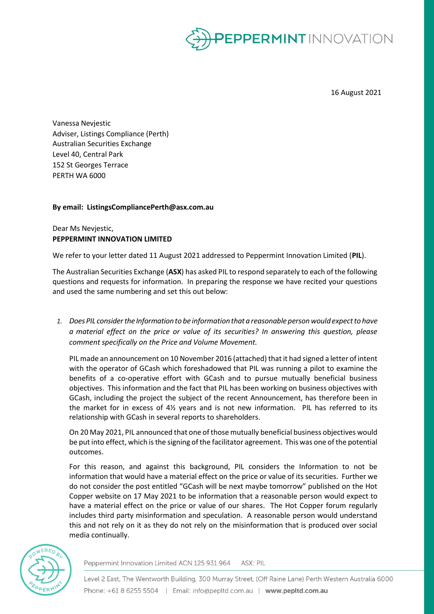

16 August 2021

Vanessa Nevjestic Adviser, Listings Compliance (Perth) Australian Securities Exchange Level 40, Central Park 152 St Georges Terrace PERTH WA 6000

# **By email: ListingsCompliancePerth@asx.com.au**

# Dear Ms Nevjestic, **PEPPERMINT INNOVATION LIMITED**

We refer to your letter dated 11 August 2021 addressed to Peppermint Innovation Limited (**PIL**).

The Australian Securities Exchange (**ASX**) has asked PIL to respond separately to each of the following questions and requests for information. In preparing the response we have recited your questions and used the same numbering and set this out below:

*1. Does PIL considerthe Informationto be information that a reasonable personwouldexpectto have a material effect on the price or value of its securities? In answering this question, please comment specifically on the Price and Volume Movement.*

PIL made an announcement on 10 November 2016 (attached) that it had signed a letter of intent with the operator of GCash which foreshadowed that PIL was running a pilot to examine the benefits of a co-operative effort with GCash and to pursue mutually beneficial business objectives. This information and the fact that PIL has been working on business objectives with GCash, including the project the subject of the recent Announcement, has therefore been in the market for in excess of  $4\frac{1}{2}$  years and is not new information. PIL has referred to its relationship with GCash in several reports to shareholders.

On 20 May 2021, PIL announced that one of those mutually beneficial business objectives would be put into effect, which is the signing of the facilitator agreement. This was one of the potential outcomes.

For this reason, and against this background, PIL considers the Information to not be information that would have a material effect on the price or value of its securities. Further we do not consider the post entitled "GCash will be next maybe tomorrow" published on the Hot Copper website on 17 May 2021 to be information that a reasonable person would expect to have a material effect on the price or value of our shares. The Hot Copper forum regularly includes third party misinformation and speculation. A reasonable person would understand this and not rely on it as they do not rely on the misinformation that is produced over social media continually.



Peppermint Innovation Limited ACN 125 931 964 ASX: PIL

Level 2 East, The Wentworth Building, 300 Murray Street, (Off Raine Lane) Perth Western Australia 6000 Phone: +61 8 6255 5504 | Email: info@pepltd.com.au | www.pepltd.com.au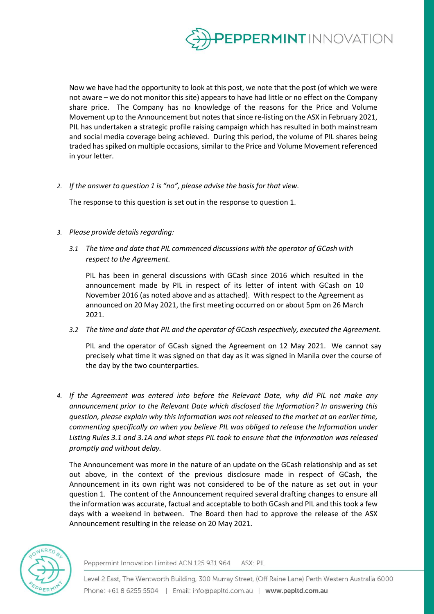

Now we have had the opportunity to look at this post, we note that the post (of which we were not aware – we do not monitor this site) appears to have had little or no effect on the Company share price. The Company has no knowledge of the reasons for the Price and Volume Movement up to the Announcement but notes that since re-listing on the ASX in February 2021, PIL has undertaken a strategic profile raising campaign which has resulted in both mainstream and social media coverage being achieved. During this period, the volume of PIL shares being traded has spiked on multiple occasions, similar to the Price and Volume Movement referenced in your letter.

*2. If the answer to question 1 is "no", please advise the basis for that view.*

The response to this question is set out in the response to question 1.

- *3. Please provide detailsregarding:*
	- *3.1 The time and date that PIL commenced discussions with the operator of GCash with respect to the Agreement.*

PIL has been in general discussions with GCash since 2016 which resulted in the announcement made by PIL in respect of its letter of intent with GCash on 10 November 2016 (as noted above and as attached). With respect to the Agreement as announced on 20 May 2021, the first meeting occurred on or about 5pm on 26 March 2021.

*3.2 The time and date that PIL and the operator of GCash respectively, executed the Agreement.*

PIL and the operator of GCash signed the Agreement on 12 May 2021. We cannot say precisely what time it was signed on that day as it was signed in Manila over the course of the day by the two counterparties.

*4. If the Agreement was entered into before the Relevant Date, why did PIL not make any announcement prior to the Relevant Date which disclosed the Information? In answering this question, please explain why this Information was not released to the market at an earlier time, commenting specifically on when you believe PIL was obliged to release the Information under Listing Rules 3.1 and 3.1A and what steps PIL took to ensure that the Information was released promptly and without delay.*

The Announcement was more in the nature of an update on the GCash relationship and as set out above, in the context of the previous disclosure made in respect of GCash, the Announcement in its own right was not considered to be of the nature as set out in your question 1. The content of the Announcement required several drafting changes to ensure all the information was accurate, factual and acceptable to both GCash and PIL and this took a few days with a weekend in between. The Board then had to approve the release of the ASX Announcement resulting in the release on 20 May 2021.



Peppermint Innovation Limited ACN 125 931 964 ASX: PIL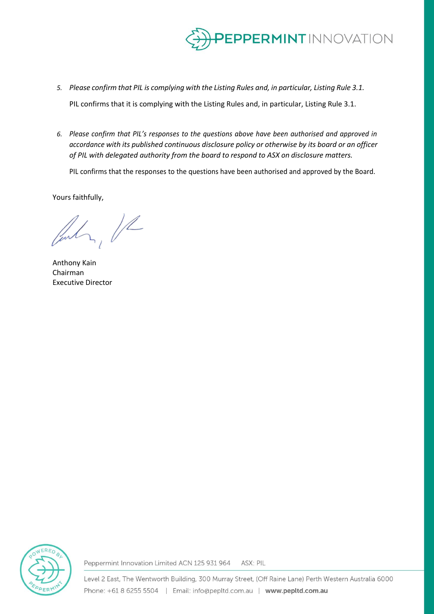

- *5. Please confirm that PIL is complying with the Listing Rules and, in particular, Listing Rule 3.1.* PIL confirms that it is complying with the Listing Rules and, in particular, Listing Rule 3.1.
- *6. Please confirm that PIL's responses to the questions above have been authorised and approved in accordance with its published continuous disclosure policy or otherwise by its board or an officer of PIL with delegated authority from the board to respond to ASX on disclosure matters.*

PIL confirms that the responses to the questions have been authorised and approved by the Board.

Yours faithfully,

 $\lambda$ ,  $\mu$ 

Anthony Kain Chairman Executive Director



Peppermint Innovation Limited ACN 125 931 964 ASX: PIL

Level 2 East, The Wentworth Building, 300 Murray Street, (Off Raine Lane) Perth Western Australia 6000 Phone: +61 8 6255 5504 | Email: info@pepltd.com.au | www.pepltd.com.au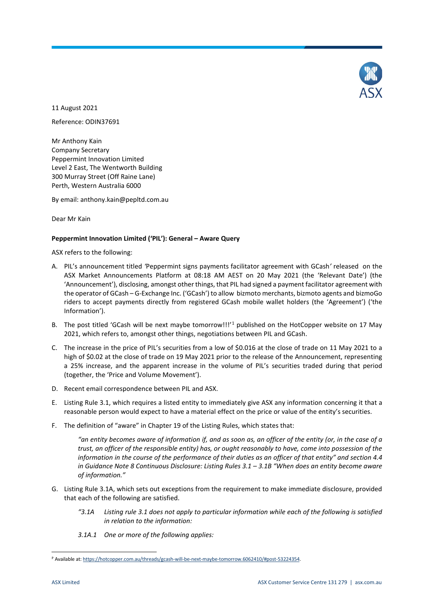

11 August 2021

Reference: ODIN37691

Mr Anthony Kain Company Secretary Peppermint Innovation Limited Level 2 East, The Wentworth Building 300 Murray Street (Off Raine Lane) Perth, Western Australia 6000

By email: anthony.kain@pepltd.com.au

Dear Mr Kain

## **Peppermint Innovation Limited ('PIL'): General – Aware Query**

ASX refers to the following:

- A. PIL's announcement titled *'*Peppermint signs payments facilitator agreement with GCash*'* released on the ASX Market Announcements Platform at 08:18 AM AEST on 20 May 2021 (the 'Relevant Date') (the 'Announcement'), disclosing, amongst other things, that PIL had signed a payment facilitator agreement with the operator of GCash – G-Exchange Inc. ('GCash') to allow bizmoto merchants, bizmoto agents and bizmoGo riders to accept payments directly from registered GCash mobile wallet holders (the 'Agreement') ('the Information').
- B. The post titled 'GCash will be next maybe tomorrow!!!'<sup>[1](#page-3-0)</sup> published on the HotCopper website on 17 May 2021, which refers to, amongst other things, negotiations between PIL and GCash.
- C. The increase in the price of PIL's securities from a low of \$0.016 at the close of trade on 11 May 2021 to a high of \$0.02 at the close of trade on 19 May 2021 prior to the release of the Announcement, representing a 25% increase, and the apparent increase in the volume of PIL's securities traded during that period (together, the 'Price and Volume Movement').
- D. Recent email correspondence between PIL and ASX.
- E. Listing Rule 3.1, which requires a listed entity to immediately give ASX any information concerning it that a reasonable person would expect to have a material effect on the price or value of the entity's securities.
- F. The definition of "aware" in Chapter 19 of the Listing Rules, which states that:

*"an entity becomes aware of information if, and as soon as, an officer of the entity (or, in the case of a trust, an officer of the responsible entity) has, or ought reasonably to have, come into possession of the information in the course of the performance of their duties as an officer of that entity" and section 4.4 in Guidance Note 8 Continuous Disclosure: Listing Rules 3.1 – 3.1B "When does an entity become aware of information."*

- G. Listing Rule 3.1A, which sets out exceptions from the requirement to make immediate disclosure, provided that each of the following are satisfied.
	- *"3.1A Listing rule 3.1 does not apply to particular information while each of the following is satisfied in relation to the information:*
	- *3.1A.1 One or more of the following applies:*

<span id="page-3-0"></span>P Available at: [https://hotcopper.com.au/threads/gcash-will-be-next-maybe-tomorrow.6062410/#post-53224354.](https://hotcopper.com.au/threads/gcash-will-be-next-maybe-tomorrow.6062410/#post-53224354)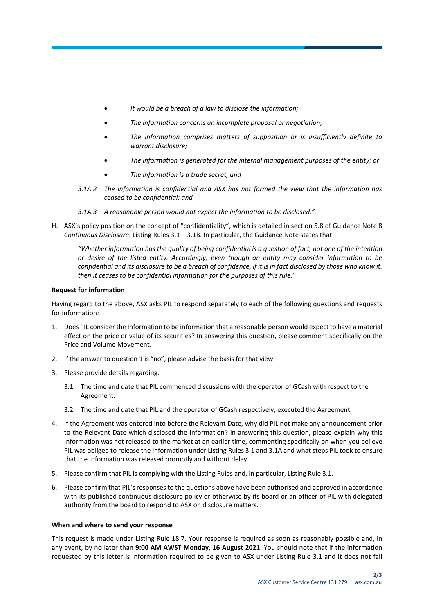- *It would be a breach of a law to disclose the information;*
- *The information concerns an incomplete proposal or negotiation;*
- *The information comprises matters of supposition or is insufficiently definite to warrant disclosure;*
- *The information is generated for the internal management purposes of the entity; or*
- *The information is a trade secret; and*
- *3.1A.2 The information is confidential and ASX has not formed the view that the information has ceased to be confidential; and*
- *3.1A.3 A reasonable person would not expect the information to be disclosed."*
- H. ASX's policy position on the concept of "confidentiality", which is detailed in section 5.8 of Guidance Note 8 *Continuous Disclosure*: Listing Rules 3.1 – 3.1B. In particular, the Guidance Note states that:

*"Whether information has the quality of being confidential is a question of fact, not one of the intention or desire of the listed entity. Accordingly, even though an entity may consider information to be confidential and its disclosure to be a breach of confidence, if it is in fact disclosed by those who know it, then it ceases to be confidential information for the purposes of this rule."*

#### **Request for information**

Having regard to the above, ASX asks PIL to respond separately to each of the following questions and requests for information:

- 1. Does PIL consider the Information to be information that a reasonable person would expect to have a material effect on the price or value of its securities? In answering this question, please comment specifically on the Price and Volume Movement.
- 2. If the answer to question 1 is "no", please advise the basis for that view.
- 3. Please provide details regarding:
	- 3.1 The time and date that PIL commenced discussions with the operator of GCash with respect to the Agreement.
	- 3.2 The time and date that PIL and the operator of GCash respectively, executed the Agreement.
- 4. If the Agreement was entered into before the Relevant Date, why did PIL not make any announcement prior to the Relevant Date which disclosed the Information? In answering this question, please explain why this Information was not released to the market at an earlier time, commenting specifically on when you believe PIL was obliged to release the Information under Listing Rules 3.1 and 3.1A and what steps PIL took to ensure that the Information was released promptly and without delay.
- 5. Please confirm that PIL is complying with the Listing Rules and, in particular, Listing Rule 3.1.
- 6. Please confirm that PIL's responses to the questions above have been authorised and approved in accordance with its published continuous disclosure policy or otherwise by its board or an officer of PIL with delegated authority from the board to respond to ASX on disclosure matters.

#### **When and where to send your response**

This request is made under Listing Rule 18.7. Your response is required as soon as reasonably possible and, in any event, by no later than **9:00 AM AWST Monday, 16 August 2021**. You should note that if the information requested by this letter is information required to be given to ASX under Listing Rule 3.1 and it does not fall